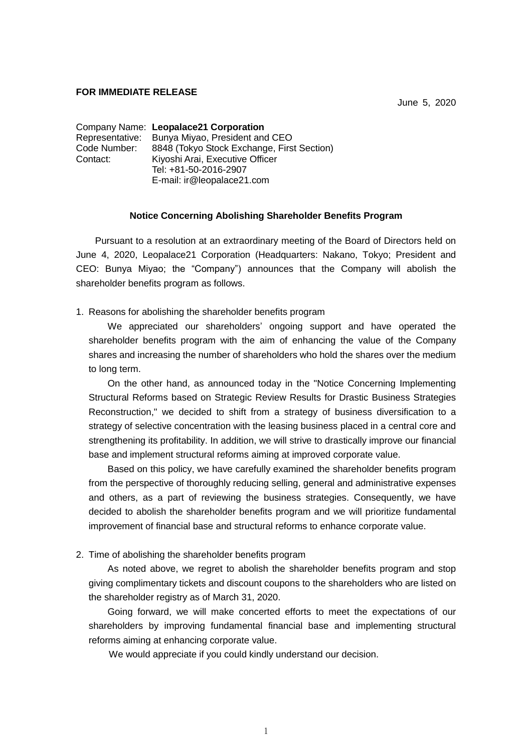## **FOR IMMEDIATE RELEASE**

June 5, 2020

|                                                            | Company Name: Leopalace21 Corporation          |  |  |  |
|------------------------------------------------------------|------------------------------------------------|--|--|--|
|                                                            | Representative: Bunya Miyao, President and CEO |  |  |  |
| 8848 (Tokyo Stock Exchange, First Section)<br>Code Number: |                                                |  |  |  |
| Contact:                                                   | Kiyoshi Arai, Executive Officer                |  |  |  |
|                                                            | Tel: +81-50-2016-2907                          |  |  |  |
|                                                            | E-mail: ir@leopalace21.com                     |  |  |  |

## **Notice Concerning Abolishing Shareholder Benefits Program**

Pursuant to a resolution at an extraordinary meeting of the Board of Directors held on June 4, 2020, Leopalace21 Corporation (Headquarters: Nakano, Tokyo; President and CEO: Bunya Miyao; the "Company") announces that the Company will abolish the shareholder benefits program as follows.

1. Reasons for abolishing the shareholder benefits program

We appreciated our shareholders' ongoing support and have operated the shareholder benefits program with the aim of enhancing the value of the Company shares and increasing the number of shareholders who hold the shares over the medium to long term.

On the other hand, as announced today in the "Notice Concerning Implementing Structural Reforms based on Strategic Review Results for Drastic Business Strategies Reconstruction," we decided to shift from a strategy of business diversification to a strategy of selective concentration with the leasing business placed in a central core and strengthening its profitability. In addition, we will strive to drastically improve our financial base and implement structural reforms aiming at improved corporate value.

Based on this policy, we have carefully examined the shareholder benefits program from the perspective of thoroughly reducing selling, general and administrative expenses and others, as a part of reviewing the business strategies. Consequently, we have decided to abolish the shareholder benefits program and we will prioritize fundamental improvement of financial base and structural reforms to enhance corporate value.

2. Time of abolishing the shareholder benefits program

As noted above, we regret to abolish the shareholder benefits program and stop giving complimentary tickets and discount coupons to the shareholders who are listed on the shareholder registry as of March 31, 2020.

Going forward, we will make concerted efforts to meet the expectations of our shareholders by improving fundamental financial base and implementing structural reforms aiming at enhancing corporate value.

We would appreciate if you could kindly understand our decision.